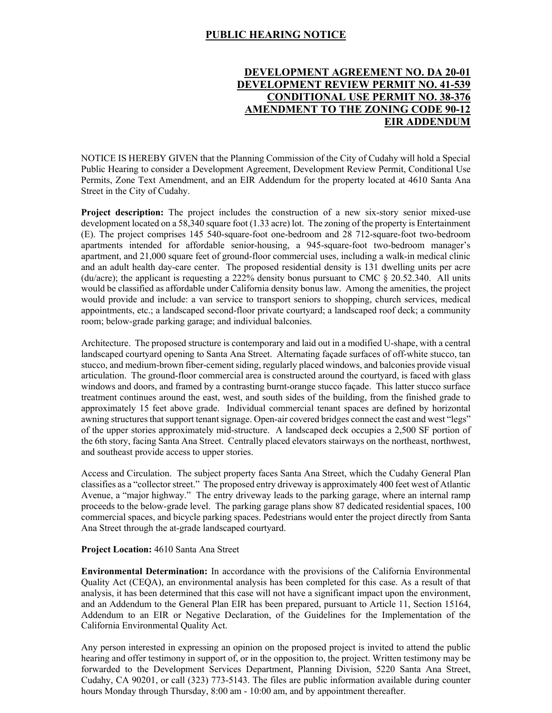## **PUBLIC HEARING NOTICE**

# **DEVELOPMENT AGREEMENT NO. DA 20-01 DEVELOPMENT REVIEW PERMIT NO. 41-539 CONDITIONAL USE PERMIT NO. 38-376 AMENDMENT TO THE ZONING CODE 90-12 EIR ADDENDUM**

NOTICE IS HEREBY GIVEN that the Planning Commission of the City of Cudahy will hold a Special Public Hearing to consider a Development Agreement, Development Review Permit, Conditional Use Permits, Zone Text Amendment, and an EIR Addendum for the property located at 4610 Santa Ana Street in the City of Cudahy.

**Project description:** The project includes the construction of a new six-story senior mixed-use development located on a 58,340 square foot (1.33 acre) lot. The zoning of the property is Entertainment (E). The project comprises 145 540-square-foot one-bedroom and 28 712-square-foot two-bedroom apartments intended for affordable senior-housing, a 945-square-foot two-bedroom manager's apartment, and 21,000 square feet of ground-floor commercial uses, including a walk-in medical clinic and an adult health day-care center. The proposed residential density is 131 dwelling units per acre (du/acre); the applicant is requesting a 222% density bonus pursuant to CMC  $\S$  20.52.340. All units would be classified as affordable under California density bonus law. Among the amenities, the project would provide and include: a van service to transport seniors to shopping, church services, medical appointments, etc.; a landscaped second-floor private courtyard; a landscaped roof deck; a community room; below-grade parking garage; and individual balconies.

Architecture. The proposed structure is contemporary and laid out in a modified U-shape, with a central landscaped courtyard opening to Santa Ana Street. Alternating façade surfaces of off-white stucco, tan stucco, and medium-brown fiber-cement siding, regularly placed windows, and balconies provide visual articulation. The ground-floor commercial area is constructed around the courtyard, is faced with glass windows and doors, and framed by a contrasting burnt-orange stucco façade. This latter stucco surface treatment continues around the east, west, and south sides of the building, from the finished grade to approximately 15 feet above grade. Individual commercial tenant spaces are defined by horizontal awning structures that support tenant signage. Open-air covered bridges connect the east and west "legs" of the upper stories approximately mid-structure. A landscaped deck occupies a 2,500 SF portion of the 6th story, facing Santa Ana Street. Centrally placed elevators stairways on the northeast, northwest, and southeast provide access to upper stories.

Access and Circulation. The subject property faces Santa Ana Street, which the Cudahy General Plan classifies as a "collector street." The proposed entry driveway is approximately 400 feet west of Atlantic Avenue, a "major highway." The entry driveway leads to the parking garage, where an internal ramp proceeds to the below-grade level. The parking garage plans show 87 dedicated residential spaces, 100 commercial spaces, and bicycle parking spaces. Pedestrians would enter the project directly from Santa Ana Street through the at-grade landscaped courtyard.

#### **Project Location:** 4610 Santa Ana Street

**Environmental Determination:** In accordance with the provisions of the California Environmental Quality Act (CEQA), an environmental analysis has been completed for this case. As a result of that analysis, it has been determined that this case will not have a significant impact upon the environment, and an Addendum to the General Plan EIR has been prepared, pursuant to Article 11, Section 15164, Addendum to an EIR or Negative Declaration, of the Guidelines for the Implementation of the California Environmental Quality Act.

Any person interested in expressing an opinion on the proposed project is invited to attend the public hearing and offer testimony in support of, or in the opposition to, the project. Written testimony may be forwarded to the Development Services Department, Planning Division, 5220 Santa Ana Street, Cudahy, CA 90201, or call (323) 773-5143. The files are public information available during counter hours Monday through Thursday, 8:00 am - 10:00 am, and by appointment thereafter.